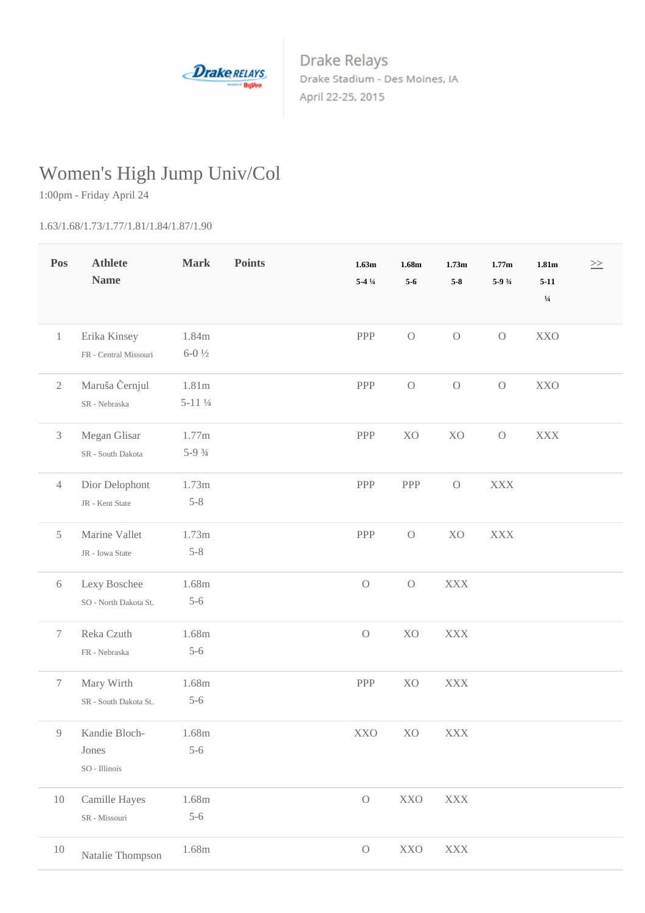

**Drake Relays** Drake Stadium - Des Moines, IA April 22-25, 2015

## Women's High Jump Univ/Col

1:00pm - Friday April 24

1.63/1.68/1.73/1.77/1.81/1.84/1.87/1.90

| Pos            | <b>Athlete</b><br><b>Name</b>                | <b>Mark</b>        | <b>Points</b> | 1.63m<br>$5-41/4$ | 1.68m<br>$5-6$ | 1.73m<br>$5-8$ | 1.77m<br>5-9 3/4 | 1.81m<br>$5 - 11$ | $\geq$ |
|----------------|----------------------------------------------|--------------------|---------------|-------------------|----------------|----------------|------------------|-------------------|--------|
|                |                                              |                    |               |                   |                |                |                  | $1/4$             |        |
| $\mathbf{1}$   | Erika Kinsey                                 | 1.84m              |               | PPP               | $\cal O$       | $\rm{O}$       | $\mathcal O$     | <b>XXO</b>        |        |
|                | FR - Central Missouri                        | $6 - 0\frac{1}{2}$ |               |                   |                |                |                  |                   |        |
| $\sqrt{2}$     | Maruša Černjul                               | 1.81m              |               | PPP               | $\cal O$       | $\rm{O}$       | $\bigcirc$       | <b>XXO</b>        |        |
|                | SR - Nebraska                                | $5-11\frac{1}{4}$  |               |                   |                |                |                  |                   |        |
| $\mathfrak{Z}$ | Megan Glisar                                 | 1.77m              |               | PPP               | X <sub>O</sub> | X <sub>O</sub> | $\bigcirc$       | <b>XXX</b>        |        |
|                | SR - South Dakota                            | $5-9.3/4$          |               |                   |                |                |                  |                   |        |
| $\overline{4}$ | Dior Delophont                               | 1.73m              |               | PPP               | PPP            | $\rm{O}$       | <b>XXX</b>       |                   |        |
|                | JR - Kent State                              | $5 - 8$            |               |                   |                |                |                  |                   |        |
| 5              | Marine Vallet                                | 1.73m              |               | PPP               | $\mathcal{O}$  | X <sub>O</sub> | <b>XXX</b>       |                   |        |
|                | JR - Iowa State                              | $5 - 8$            |               |                   |                |                |                  |                   |        |
| $6\,$          | Lexy Boschee                                 | 1.68m              |               | $\cal O$          | $\rm{O}$       | <b>XXX</b>     |                  |                   |        |
|                | SO - North Dakota St.                        | $5 - 6$            |               |                   |                |                |                  |                   |        |
| $\tau$         | Reka Czuth                                   | 1.68m              |               | $\bigcirc$        | X <sub>O</sub> | <b>XXX</b>     |                  |                   |        |
|                | FR - Nebraska                                | $5 - 6$            |               |                   |                |                |                  |                   |        |
| $\tau$         | Mary Wirth                                   | 1.68m              |               | PPP               | X <sub>O</sub> | <b>XXX</b>     |                  |                   |        |
|                | SR - South Dakota St.                        | $5 - 6$            |               |                   |                |                |                  |                   |        |
|                | 9 Kandie Bloch-                              | $1.68\mathrm{m}$   |               | XXO               | XO             | $\mathbf{XXX}$ |                  |                   |        |
|                | Jones                                        | $5 - 6$            |               |                   |                |                |                  |                   |        |
|                | SO - Illinois                                |                    |               |                   |                |                |                  |                   |        |
| 10             | Camille Hayes                                | 1.68m              |               | $\cal O$          | <b>XXO</b>     | $\mathbf{XXX}$ |                  |                   |        |
|                | $\ensuremath{\mathsf{SR}}\xspace$ - Missouri | $5 - 6$            |               |                   |                |                |                  |                   |        |
| 10             | Natalie Thompson                             | 1.68m              |               | $\bigcirc$        | $\bold{XXO}$   | $\mathbf{XXX}$ |                  |                   |        |